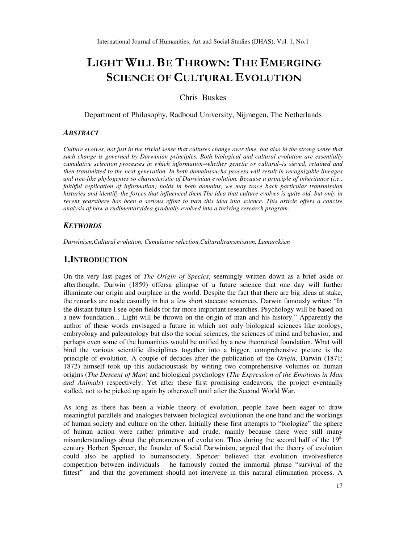# **LIGHT WILL BE THROWN: THE EMERGING SCIENCE OF CULTURAL EVOLUTION**

Chris Buskes

Department of Philosophy, Radboud University, Nijmegen, The Netherlands

### *ABSTRACT*

*Culture evolves, not just in the trivial sense that cultures change over time, but also in the strong sense that such change is governed by Darwinian principles. Both biological and cultural evolution are essentially cumulative selection processes in which information–whether genetic or cultural–is sieved, retained and then transmitted to the next generation. In both domainssucha process will result in recognizable lineages and tree-like phylogenies so characteristic of Darwinian evolution. Because a principle of inheritance (i.e., faithful replication of information) holds in both domains, we may trace back particular transmission histories and identify the forces that influenced them.The idea that culture evolves is quite old, but only in recent yearsthere has been a serious effort to turn this idea into science. This article offers a concise analysis of how a rudimentaryidea gradually evolved into a thriving research program.*

### *KEYWORDS*

*Darwinism,Cultural evolution, Cumulative selection,Culturaltransmission, Lamarckism*

### **1.INTRODUCTION**

On the very last pages of *The Origin of Species*, seemingly written down as a brief aside or afterthought, Darwin (1859) offersa glimpse of a future science that one day will further illuminate our origin and ourplace in the world. Despite the fact that there are big ideas at stake, the remarks are made casually in but a few short staccato sentences. Darwin famously writes: "In the distant future I see open fields for far more important researches. Psychology will be based on a new foundation... Light will be thrown on the origin of man and his history." Apparently the author of these words envisaged a future in which not only biological sciences like zoology, embryology and paleontology but also the social sciences, the sciences of mind and behavior, and perhaps even some of the humanities would be unified by a new theoretical foundation. What will bind the various scientific disciplines together into a bigger, comprehensive picture is the principle of evolution. A couple of decades after the publication of the *Origin*, Darwin (1871; 1872) himself took up this audacioustask by writing two comprehensive volumes on human origins (*The Descent of Man*) and biological psychology (*The Expression of the Emotions in Man and Animals*) respectively. Yet after these first promising endeavors, the project eventually stalled, not to be picked up again by otherswell until after the Second World War.

As long as there has been a viable theory of evolution, people have been eager to draw meaningful parallels and analogies between biological evolutionon the one hand and the workings of human society and culture on the other. Initially these first attempts to "biologize" the sphere of human action were rather primitive and crude, mainly because there were still many misunderstandings about the phenomenon of evolution. Thus during the second half of the  $19<sup>th</sup>$ century Herbert Spencer, the founder of Social Darwinism, argued that the theory of evolution could also be applied to humansociety. Spencer believed that evolution involvesfierce competition between individuals – he famously coined the immortal phrase "survival of the fittest"– and that the government should not intervene in this natural elimination process. A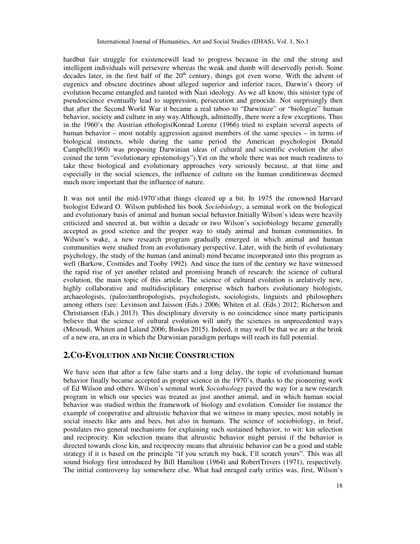hardbut fair struggle for existencewill lead to progress because in the end the strong and intelligent individuals will persevere whereas the weak and dumb will deservedly perish. Some decades later, in the first half of the  $20<sup>th</sup>$  century, things got even worse. With the advent of eugenics and obscure doctrines about alleged superior and inferior races, Darwin's theory of evolution became entangled and tainted with Nazi ideology. As we all know, this sinister type of pseudoscience eventually lead to suppression, persecution and genocide. Not surprisingly then that after the Second World War it became a real taboo to "Darwinize" or "biologize" human behavior, society and culture in any way.Although, admittedly, there were a few exceptions. Thus in the 1960's the Austrian ethologistKonrad Lorenz (1966) tried to explain several aspects of human behavior – most notably aggression against members of the same species – in terms of biological instincts, while during the same period the American psychologist Donald Campbell(1960) was proposing Darwinian ideas of cultural and scientific evolution (he also coined the term "evolutionary epistemology").Yet on the whole there was not much readiness to take these biological and evolutionary approaches very seriously because, at that time and especially in the social sciences, the influence of culture on the human conditionwas deemed much more important that the influence of nature.

It was not until the mid-1970'sthat things cleared up a bit. In 1975 the renowned Harvard biologist Edward O. Wilson published his book *Sociobiology*, a seminal work on the biological and evolutionary basis of animal and human social behavior.Initially Wilson's ideas were heavily criticized and sneered at, but within a decade or two Wilson's sociobiology became generally accepted as good science and the proper way to study animal and human communities. In Wilson's wake, a new research program gradually emerged in which animal and human communities were studied from an evolutionary perspective. Later, with the birth of evolutionary psychology, the study of the human (and animal) mind became incorporated into this program as well (Barkow, Cosmides and Tooby 1992). And since the turn of the century we have witnessed the rapid rise of yet another related and promising branch of research: the science of cultural evolution, the main topic of this article. The science of cultural evolution is arelatively new, highly collaborative and multidisciplinary enterprise which harbors evolutionary biologists, archaeologists, (paleo)anthropologists, psychologists, sociologists, linguists and philosophers among others (see: Levinson and Jaisson (Eds.) 2006; Whiten et al. (Eds.) 2012; Richerson and Christiansen (Eds.) 2013). This disciplinary diversity is no coincidence since many participants believe that the science of cultural evolution will unify the sciences in unprecedented ways (Mesoudi, Whiten and Laland 2006; Buskes 2015). Indeed, it may well be that we are at the brink of a new era, an era in which the Darwinian paradigm perhaps will reach its full potential.

## **2.CO-EVOLUTION AND NICHE CONSTRUCTION**

We have seen that after a few false starts and a long delay, the topic of evolutionand human behavior finally became accepted as proper science in the 1970's, thanks to the pioneering work of Ed Wilson and others. Wilson's seminal work *Sociobiology* paved the way for a new research program in which our species was treated as just another animal, and in which human social behavior was studied within the framework of biology and evolution. Consider for instance the example of cooperative and altruistic behavior that we witness in many species, most notably in social insects like ants and bees, but also in humans. The science of sociobiology, in brief, postulates two general mechanisms for explaining such sustained behavior, to wit: kin selection and reciprocity. Kin selection means that altruistic behavior might persist if the behavior is directed towards close kin, and reciprocity means that altruistic behavior can be a good and stable strategy if it is based on the principle "if you scratch my back, I'll scratch yours". This was all sound biology first introduced by Bill Hamilton (1964) and RobertTrivers (1971), respectively. The initial controversy lay somewhere else. What had enraged early critics was, first, Wilson's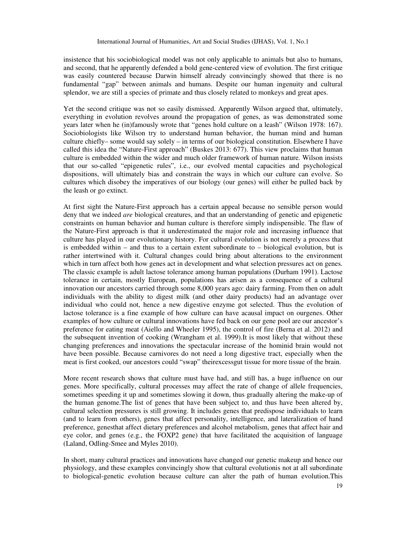insistence that his sociobiological model was not only applicable to animals but also to humans, and second, that he apparently defended a bold gene-centered view of evolution. The first critique was easily countered because Darwin himself already convincingly showed that there is no fundamental "gap" between animals and humans. Despite our human ingenuity and cultural splendor, we are still a species of primate and thus closely related to monkeys and great apes.

Yet the second critique was not so easily dismissed. Apparently Wilson argued that, ultimately, everything in evolution revolves around the propagation of genes, as was demonstrated some years later when he (in)famously wrote that "genes hold culture on a leash" (Wilson 1978: 167). Sociobiologists like Wilson try to understand human behavior, the human mind and human culture chiefly– some would say solely – in terms of our biological constitution. Elsewhere I have called this idea the "Nature-First approach" (Buskes 2013: 677). This view proclaims that human culture is embedded within the wider and much older framework of human nature. Wilson insists that our so-called "epigenetic rules", i.e., our evolved mental capacities and psychological dispositions, will ultimately bias and constrain the ways in which our culture can evolve. So cultures which disobey the imperatives of our biology (our genes) will either be pulled back by the leash or go extinct.

At first sight the Nature-First approach has a certain appeal because no sensible person would deny that we indeed *are* biological creatures, and that an understanding of genetic and epigenetic constraints on human behavior and human culture is therefore simply indispensible. The flaw of the Nature-First approach is that it underestimated the major role and increasing influence that culture has played in our evolutionary history. For cultural evolution is not merely a process that is embedded within – and thus to a certain extent subordinate to – biological evolution, but is rather intertwined with it. Cultural changes could bring about alterations to the environment which in turn affect both how genes act in development and what selection pressures act on genes. The classic example is adult lactose tolerance among human populations (Durham 1991). Lactose tolerance in certain, mostly European, populations has arisen as a consequence of a cultural innovation our ancestors carried through some 8,000 years ago: dairy farming. From then on adult individuals with the ability to digest milk (and other dairy products) had an advantage over individual who could not, hence a new digestive enzyme got selected. Thus the evolution of lactose tolerance is a fine example of how culture can have acausal impact on ourgenes. Other examples of how culture or cultural innovations have fed back on our gene pool are our ancestor's preference for eating meat (Aiello and Wheeler 1995), the control of fire (Berna et al. 2012) and the subsequent invention of cooking (Wrangham et al. 1999).It is most likely that without these changing preferences and innovations the spectacular increase of the hominid brain would not have been possible. Because carnivores do not need a long digestive tract, especially when the meat is first cooked, our ancestors could "swap" theirexcessgut tissue for more tissue of the brain.

More recent research shows that culture must have had, and still has, a huge influence on our genes. More specifically, cultural processes may affect the rate of change of allele frequencies, sometimes speeding it up and sometimes slowing it down, thus gradually altering the make-up of the human genome.The list of genes that have been subject to, and thus have been altered by, cultural selection pressures is still growing. It includes genes that predispose individuals to learn (and to learn from others), genes that affect personality, intelligence, and lateralization of hand preference, genesthat affect dietary preferences and alcohol metabolism, genes that affect hair and eye color, and genes (e.g., the FOXP2 gene) that have facilitated the acquisition of language (Laland, Odling-Smee and Myles 2010).

In short, many cultural practices and innovations have changed our genetic makeup and hence our physiology, and these examples convincingly show that cultural evolutionis not at all subordinate to biological-genetic evolution because culture can alter the path of human evolution.This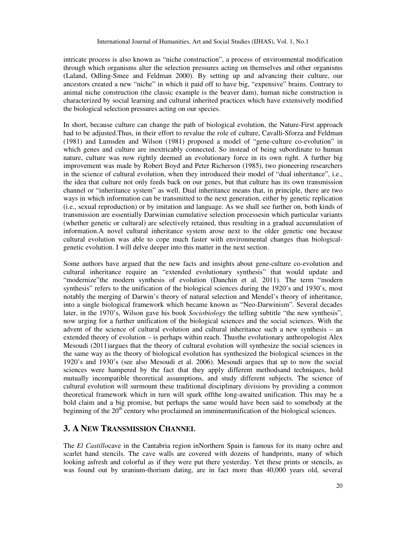intricate process is also known as "niche construction", a process of environmental modification through which organisms alter the selection pressures acting on themselves and other organisms (Laland, Odling-Smee and Feldman 2000). By setting up and advancing their culture, our ancestors created a new "niche" in which it paid off to have big, "expensive" brains. Contrary to animal niche construction (the classic example is the beaver dam), human niche construction is characterized by social learning and cultural inherited practices which have extensively modified the biological selection pressures acting on our species.

In short, because culture can change the path of biological evolution, the Nature-First approach had to be adjusted.Thus, in their effort to revalue the role of culture, Cavalli-Sforza and Feldman (1981) and Lumsden and Wilson (1981) proposed a model of "gene-culture co-evolution" in which genes and culture are inextricably connected. So instead of being subordinate to human nature, culture was now rightly deemed an evolutionary force in its own right. A further big improvement was made by Robert Boyd and Peter Richerson (1985), two pioneering researchers in the science of cultural evolution, when they introduced their model of "dual inheritance", i.e., the idea that culture not only feeds back on our genes, but that culture has its own transmission channel or "inheritance system" as well. Dual inheritance means that, in principle, there are two ways in which information can be transmitted to the next generation, either by genetic replication (i.e., sexual reproduction) or by imitation and language. As we shall see further on, both kinds of transmission are essentially Darwinian cumulative selection processesin which particular variants (whether genetic or cultural) are selectively retained, thus resulting in a gradual accumulation of information.A novel cultural inheritance system arose next to the older genetic one because cultural evolution was able to cope much faster with environmental changes than biologicalgenetic evolution. I will delve deeper into this matter in the next section.

Some authors have argued that the new facts and insights about gene-culture co-evolution and cultural inheritance require an "extended evolutionary synthesis" that would update and "modernize"the modern synthesis of evolution (Danchin et al. 2011). The term "modern synthesis" refers to the unification of the biological sciences during the 1920's and 1930's, most notably the merging of Darwin's theory of natural selection and Mendel's theory of inheritance, into a single biological framework which became known as "Neo-Darwinism". Several decades later, in the 1970's, Wilson gave his book *Sociobiology* the telling subtitle "the new synthesis", now urging for a further unification of the biological sciences and the social sciences. With the advent of the science of cultural evolution and cultural inheritance such a new synthesis – an extended theory of evolution – is perhaps within reach. Thusthe evolutionary anthropologist Alex Mesoudi (2011)argues that the theory of cultural evolution will synthesize the social sciences in the same way as the theory of biological evolution has synthesized the biological sciences in the 1920's and 1930's (see also Mesoudi et al. 2006). Mesoudi argues that up to now the social sciences were hampered by the fact that they apply different methodsand techniques, hold mutually incompatible theoretical assumptions, and study different subjects. The science of cultural evolution will surmount these traditional disciplinary divisions by providing a common theoretical framework which in turn will spark offthe long-awaited unification. This may be a bold claim and a big promise, but perhaps the same would have been said to somebody at the beginning of the  $20<sup>th</sup>$  century who proclaimed an imminentunification of the biological sciences.

# **3. A NEW TRANSMISSION CHANNEL**

The *El Castillo*cave in the Cantabria region inNorthern Spain is famous for its many ochre and scarlet hand stencils. The cave walls are covered with dozens of handprints, many of which looking asfresh and colorful as if they were put there yesterday. Yet these prints or stencils, as was found out by uranium-thorium dating, are in fact more than 40,000 years old, several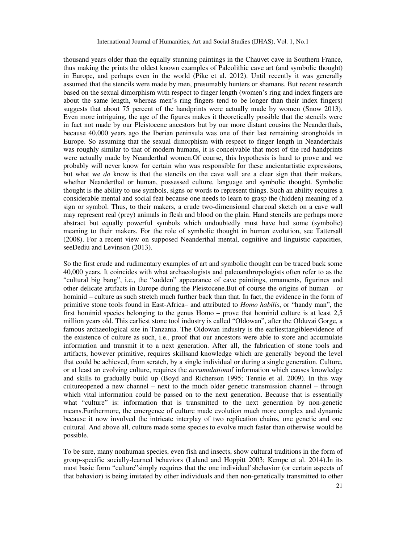thousand years older than the equally stunning paintings in the Chauvet cave in Southern France, thus making the prints the oldest known examples of Paleolithic cave art (and symbolic thought) in Europe, and perhaps even in the world (Pike et al. 2012). Until recently it was generally assumed that the stencils were made by men, presumably hunters or shamans. But recent research based on the sexual dimorphism with respect to finger length (women's ring and index fingers are about the same length, whereas men's ring fingers tend to be longer than their index fingers) suggests that about 75 percent of the handprints were actually made by women (Snow 2013). Even more intriguing, the age of the figures makes it theoretically possible that the stencils were in fact not made by our Pleistocene ancestors but by our more distant cousins the Neanderthals, because 40,000 years ago the Iberian peninsula was one of their last remaining strongholds in Europe. So assuming that the sexual dimorphism with respect to finger length in Neanderthals was roughly similar to that of modern humans, it is conceivable that most of the red handprints were actually made by Neanderthal women.Of course, this hypothesis is hard to prove and we probably will never know for certain who was responsible for these ancientartistic expressions, but what we *do* know is that the stencils on the cave wall are a clear sign that their makers, whether Neanderthal or human, possessed culture, language and symbolic thought. Symbolic thought is the ability to use symbols, signs or words to represent things. Such an ability requires a considerable mental and social feat because one needs to learn to grasp the (hidden) meaning of a sign or symbol. Thus, to their makers, a crude two-dimensional charcoal sketch on a cave wall may represent real (prey) animals in flesh and blood on the plain. Hand stencils are perhaps more abstract but equally powerful symbols which undoubtedly must have had some (symbolic) meaning to their makers. For the role of symbolic thought in human evolution, see Tattersall (2008). For a recent view on supposed Neanderthal mental, cognitive and linguistic capacities, seeDediu and Levinson (2013).

So the first crude and rudimentary examples of art and symbolic thought can be traced back some 40,000 years. It coincides with what archaeologists and paleoanthropologists often refer to as the "cultural big bang", i.e., the "sudden" appearance of cave paintings, ornaments, figurines and other delicate artifacts in Europe during the Pleistocene.But of course the origins of human – or hominid – culture as such stretch much further back than that. In fact, the evidence in the form of primitive stone tools found in East-Africa– and attributed to *Homo habilis*, or "handy man", the first hominid species belonging to the genus Homo – prove that hominid culture is at least 2,5 million years old. This earliest stone tool industry is called "Oldowan", after the Olduvai Gorge, a famous archaeological site in Tanzania. The Oldowan industry is the earliesttangibleevidence of the existence of culture as such, i.e., proof that our ancestors were able to store and accumulate information and transmit it to a next generation. After all, the fabrication of stone tools and artifacts, however primitive, requires skillsand knowledge which are generally beyond the level that could be achieved, from scratch, by a single individual or during a single generation. Culture, or at least an evolving culture, requires the *accumulation*of information which causes knowledge and skills to gradually build up (Boyd and Richerson 1995; Tennie et al. 2009). In this way cultureopened a new channel – next to the much older genetic transmission channel – through which vital information could be passed on to the next generation. Because that is essentially what "culture" is: information that is transmitted to the next generation by non-genetic means.Furthermore, the emergence of culture made evolution much more complex and dynamic because it now involved the intricate interplay of two replication chains, one genetic and one cultural. And above all, culture made some species to evolve much faster than otherwise would be possible.

To be sure, many nonhuman species, even fish and insects, show cultural traditions in the form of group-specific socially-learned behaviors (Laland and Hoppitt 2003; Kempe et al. 2014).In its most basic form "culture"simply requires that the one individual'sbehavior (or certain aspects of that behavior) is being imitated by other individuals and then non-genetically transmitted to other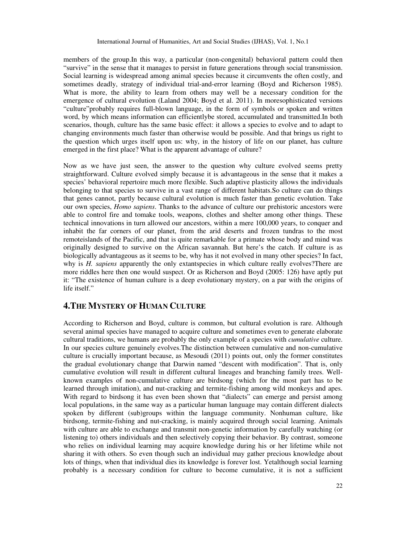members of the group.In this way, a particular (non-congenital) behavioral pattern could then "survive" in the sense that it manages to persist in future generations through social transmission. Social learning is widespread among animal species because it circumvents the often costly, and sometimes deadly, strategy of individual trial-and-error learning (Boyd and Richerson 1985). What is more, the ability to learn from others may well be a necessary condition for the emergence of cultural evolution (Laland 2004; Boyd et al. 2011). In moresophisticated versions "culture"probably requires full-blown language, in the form of symbols or spoken and written word, by which means information can efficientlybe stored, accumulated and transmitted.In both scenarios, though, culture has the same basic effect: it allows a species to evolve and to adapt to changing environments much faster than otherwise would be possible. And that brings us right to the question which urges itself upon us: why, in the history of life on our planet, has culture emerged in the first place? What is the apparent advantage of culture?

Now as we have just seen, the answer to the question why culture evolved seems pretty straightforward. Culture evolved simply because it is advantageous in the sense that it makes a species' behavioral repertoire much more flexible. Such adaptive plasticity allows the individuals belonging to that species to survive in a vast range of different habitats.So culture can do things that genes cannot, partly because cultural evolution is much faster than genetic evolution. Take our own species, *Homo sapiens*. Thanks to the advance of culture our prehistoric ancestors were able to control fire and tomake tools, weapons, clothes and shelter among other things. These technical innovations in turn allowed our ancestors, within a mere 100,000 years, to conquer and inhabit the far corners of our planet, from the arid deserts and frozen tundras to the most remoteislands of the Pacific, and that is quite remarkable for a primate whose body and mind was originally designed to survive on the African savannah. But here's the catch. If culture is as biologically advantageous as it seems to be, why has it not evolved in many other species? In fact, why is *H. sapiens* apparently the only extantspecies in which culture really evolves? There are more riddles here then one would suspect. Or as Richerson and Boyd (2005: 126) have aptly put it: "The existence of human culture is a deep evolutionary mystery, on a par with the origins of life itself."

# **4.THE MYSTERY OF HUMAN CULTURE**

According to Richerson and Boyd, culture is common, but cultural evolution is rare. Although several animal species have managed to acquire culture and sometimes even to generate elaborate cultural traditions, we humans are probably the only example of a species with *cumulative* culture. In our species culture genuinely evolves.The distinction between cumulative and non-cumulative culture is crucially important because, as Mesoudi (2011) points out, only the former constitutes the gradual evolutionary change that Darwin named "descent with modification". That is, only cumulative evolution will result in different cultural lineages and branching family trees. Wellknown examples of non-cumulative culture are birdsong (which for the most part has to be learned through imitation), and nut-cracking and termite-fishing among wild monkeys and apes. With regard to birdsong it has even been shown that "dialects" can emerge and persist among local populations, in the same way as a particular human language may contain different dialects spoken by different (sub)groups within the language community. Nonhuman culture, like birdsong, termite-fishing and nut-cracking, is mainly acquired through social learning. Animals with culture are able to exchange and transmit non-genetic information by carefully watching (or listening to) others individuals and then selectively copying their behavior. By contrast, someone who relies on individual learning may acquire knowledge during his or her lifetime while not sharing it with others. So even though such an individual may gather precious knowledge about lots of things, when that individual dies its knowledge is forever lost. Yetalthough social learning probably is a necessary condition for culture to become cumulative, it is not a sufficient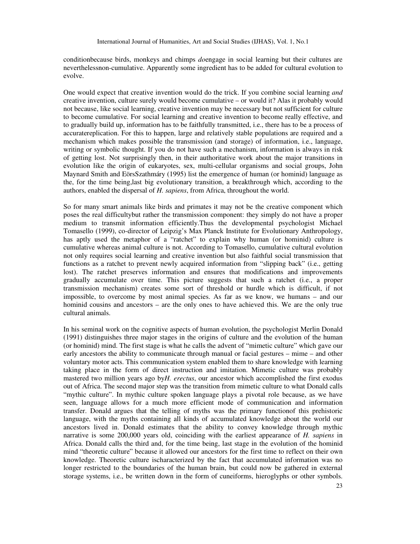conditionbecause birds, monkeys and chimps *do*engage in social learning but their cultures are neverthelessnon-cumulative. Apparently some ingredient has to be added for cultural evolution to evolve.

One would expect that creative invention would do the trick. If you combine social learning *and* creative invention, culture surely would become cumulative – or would it? Alas it probably would not because, like social learning, creative invention may be necessary but not sufficient for culture to become cumulative. For social learning and creative invention to become really effective, and to gradually build up, information has to be faithfully transmitted, i.e., there has to be a process of accuratereplication. For this to happen, large and relatively stable populations are required and a mechanism which makes possible the transmission (and storage) of information, i.e., language, writing or symbolic thought. If you do not have such a mechanism, information is always in risk of getting lost. Not surprisingly then, in their authoritative work about the major transitions in evolution like the origin of eukaryotes, sex, multi-cellular organisms and social groups, John Maynard Smith and EörsSzathmáry (1995) list the emergence of human (or hominid) language as the, for the time being,last big evolutionary transition, a breakthrough which, according to the authors, enabled the dispersal of *H. sapiens*, from Africa, throughout the world.

So for many smart animals like birds and primates it may not be the creative component which poses the real difficultybut rather the transmission component: they simply do not have a proper medium to transmit information efficiently.Thus the developmental psychologist Michael Tomasello (1999), co-director of Leipzig's Max Planck Institute for Evolutionary Anthropology, has aptly used the metaphor of a "ratchet" to explain why human (or hominid) culture is cumulative whereas animal culture is not. According to Tomasello, cumulative cultural evolution not only requires social learning and creative invention but also faithful social transmission that functions as a ratchet to prevent newly acquired information from "slipping back" (i.e., getting lost). The ratchet preserves information and ensures that modifications and improvements gradually accumulate over time. This picture suggests that such a ratchet (i.e., a proper transmission mechanism) creates some sort of threshold or hurdle which is difficult, if not impossible, to overcome by most animal species. As far as we know, we humans – and our hominid cousins and ancestors – are the only ones to have achieved this. We are the only true cultural animals.

In his seminal work on the cognitive aspects of human evolution, the psychologist Merlin Donald (1991) distinguishes three major stages in the origins of culture and the evolution of the human (or hominid) mind. The first stage is what he calls the advent of "mimetic culture" which gave our early ancestors the ability to communicate through manual or facial gestures – mime – and other voluntary motor acts. This communication system enabled them to share knowledge with learning taking place in the form of direct instruction and imitation. Mimetic culture was probably mastered two million years ago by*H. erectus*, our ancestor which accomplished the first exodus out of Africa. The second major step was the transition from mimetic culture to what Donald calls "mythic culture". In mythic culture spoken language plays a pivotal role because, as we have seen, language allows for a much more efficient mode of communication and information transfer. Donald argues that the telling of myths was the primary functionof this prehistoric language, with the myths containing all kinds of accumulated knowledge about the world our ancestors lived in. Donald estimates that the ability to convey knowledge through mythic narrative is some 200,000 years old, coinciding with the earliest appearance of *H. sapiens* in Africa. Donald calls the third and, for the time being, last stage in the evolution of the hominid mind "theoretic culture" because it allowed our ancestors for the first time to reflect on their own knowledge. Theoretic culture ischaracterized by the fact that accumulated information was no longer restricted to the boundaries of the human brain, but could now be gathered in external storage systems, i.e., be written down in the form of cuneiforms, hieroglyphs or other symbols.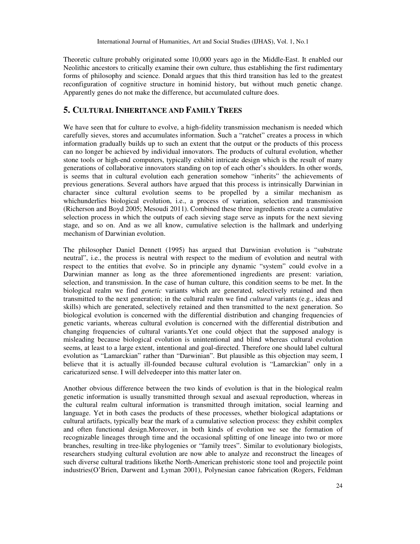Theoretic culture probably originated some 10,000 years ago in the Middle-East. It enabled our Neolithic ancestors to critically examine their own culture, thus establishing the first rudimentary forms of philosophy and science. Donald argues that this third transition has led to the greatest reconfiguration of cognitive structure in hominid history, but without much genetic change. Apparently genes do not make the difference, but accumulated culture does.

# **5. CULTURAL INHERITANCE AND FAMILY TREES**

We have seen that for culture to evolve, a high-fidelity transmission mechanism is needed which carefully sieves, stores and accumulates information. Such a "ratchet" creates a process in which information gradually builds up to such an extent that the output or the products of this process can no longer be achieved by individual innovators. The products of cultural evolution, whether stone tools or high-end computers, typically exhibit intricate design which is the result of many generations of collaborative innovators standing on top of each other's shoulders. In other words, is seems that in cultural evolution each generation somehow "inherits" the achievements of previous generations. Several authors have argued that this process is intrinsically Darwinian in character since cultural evolution seems to be propelled by a similar mechanism as whichunderlies biological evolution, i.e., a process of variation, selection and transmission (Richerson and Boyd 2005; Mesoudi 2011). Combined these three ingredients create a cumulative selection process in which the outputs of each sieving stage serve as inputs for the next sieving stage, and so on. And as we all know, cumulative selection is the hallmark and underlying mechanism of Darwinian evolution.

The philosopher Daniel Dennett (1995) has argued that Darwinian evolution is "substrate neutral", i.e., the process is neutral with respect to the medium of evolution and neutral with respect to the entities that evolve. So in principle any dynamic "system" could evolve in a Darwinian manner as long as the three aforementioned ingredients are present: variation, selection, and transmission. In the case of human culture, this condition seems to be met. In the biological realm we find *genetic* variants which are generated, selectively retained and then transmitted to the next generation; in the cultural realm we find *cultural* variants (e.g., ideas and skills) which are generated, selectively retained and then transmitted to the next generation. So biological evolution is concerned with the differential distribution and changing frequencies of genetic variants, whereas cultural evolution is concerned with the differential distribution and changing frequencies of cultural variants.Yet one could object that the supposed analogy is misleading because biological evolution is unintentional and blind whereas cultural evolution seems, at least to a large extent, intentional and goal-directed. Therefore one should label cultural evolution as "Lamarckian" rather than "Darwinian". But plausible as this objection may seem, I believe that it is actually ill-founded because cultural evolution is "Lamarckian" only in a caricaturized sense. I will delvedeeper into this matter later on.

Another obvious difference between the two kinds of evolution is that in the biological realm genetic information is usually transmitted through sexual and asexual reproduction, whereas in the cultural realm cultural information is transmitted through imitation, social learning and language. Yet in both cases the products of these processes, whether biological adaptations or cultural artifacts, typically bear the mark of a cumulative selection process: they exhibit complex and often functional design.Moreover, in both kinds of evolution we see the formation of recognizable lineages through time and the occasional splitting of one lineage into two or more branches, resulting in tree-like phylogenies or "family trees". Similar to evolutionary biologists, researchers studying cultural evolution are now able to analyze and reconstruct the lineages of such diverse cultural traditions likethe North-American prehistoric stone tool and projectile point industries(O'Brien, Darwent and Lyman 2001), Polynesian canoe fabrication (Rogers, Feldman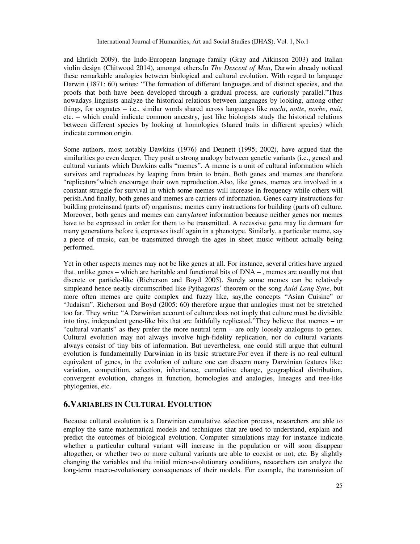and Ehrlich 2009), the Indo-European language family (Gray and Atkinson 2003) and Italian violin design (Chitwood 2014), amongst others.In *The Descent of Man*, Darwin already noticed these remarkable analogies between biological and cultural evolution. With regard to language Darwin (1871: 60) writes: "The formation of different languages and of distinct species, and the proofs that both have been developed through a gradual process, are curiously parallel."Thus nowadays linguists analyze the historical relations between languages by looking, among other things, for cognates – i.e., similar words shared across languages like *nacht*, *notte*, *noche*, *nuit*, etc. – which could indicate common ancestry, just like biologists study the historical relations between different species by looking at homologies (shared traits in different species) which indicate common origin.

Some authors, most notably Dawkins (1976) and Dennett (1995; 2002), have argued that the similarities go even deeper. They posit a strong analogy between genetic variants (i.e., genes) and cultural variants which Dawkins calls "memes". A meme is a unit of cultural information which survives and reproduces by leaping from brain to brain. Both genes and memes are therefore "replicators"which encourage their own reproduction.Also, like genes, memes are involved in a constant struggle for survival in which some memes will increase in frequency while others will perish.And finally, both genes and memes are carriers of information. Genes carry instructions for building proteinsand (parts of) organisms; memes carry instructions for building (parts of) culture. Moreover, both genes and memes can carry*latent* information because neither genes nor memes have to be expressed in order for them to be transmitted. A recessive gene may lie dormant for many generations before it expresses itself again in a phenotype. Similarly, a particular meme, say a piece of music, can be transmitted through the ages in sheet music without actually being performed.

Yet in other aspects memes may not be like genes at all. For instance, several critics have argued that, unlike genes – which are heritable and functional bits of DNA – , memes are usually not that discrete or particle-like (Richerson and Boyd 2005). Surely some memes can be relatively simpleand hence neatly circumscribed like Pythagoras' theorem or the song *Auld Lang Syne*, but more often memes are quite complex and fuzzy like, say,the concepts "Asian Cuisine" or "Judaism". Richerson and Boyd (2005: 60) therefore argue that analogies must not be stretched too far. They write: "A Darwinian account of culture does not imply that culture must be divisible into tiny, independent gene-like bits that are faithfully replicated."They believe that memes – or "cultural variants" as they prefer the more neutral term – are only loosely analogous to genes. Cultural evolution may not always involve high-fidelity replication, nor do cultural variants always consist of tiny bits of information. But nevertheless, one could still argue that cultural evolution is fundamentally Darwinian in its basic structure.For even if there is no real cultural equivalent of genes, in the evolution of culture one can discern many Darwinian features like: variation, competition, selection, inheritance, cumulative change, geographical distribution, convergent evolution, changes in function, homologies and analogies, lineages and tree-like phylogenies, etc.

# **6.VARIABLES IN CULTURAL EVOLUTION**

Because cultural evolution is a Darwinian cumulative selection process, researchers are able to employ the same mathematical models and techniques that are used to understand, explain and predict the outcomes of biological evolution. Computer simulations may for instance indicate whether a particular cultural variant will increase in the population or will soon disappear altogether, or whether two or more cultural variants are able to coexist or not, etc. By slightly changing the variables and the initial micro-evolutionary conditions, researchers can analyze the long-term macro-evolutionary consequences of their models. For example, the transmission of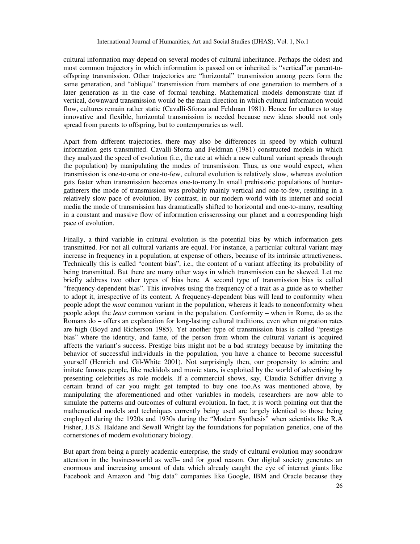cultural information may depend on several modes of cultural inheritance. Perhaps the oldest and most common trajectory in which information is passed on or inherited is "vertical"or parent-tooffspring transmission. Other trajectories are "horizontal" transmission among peers form the same generation, and "oblique" transmission from members of one generation to members of a later generation as in the case of formal teaching. Mathematical models demonstrate that if vertical, downward transmission would be the main direction in which cultural information would flow, cultures remain rather static (Cavalli-Sforza and Feldman 1981). Hence for cultures to stay innovative and flexible, horizontal transmission is needed because new ideas should not only spread from parents to offspring, but to contemporaries as well.

Apart from different trajectories, there may also be differences in speed by which cultural information gets transmitted. Cavalli-Sforza and Feldman (1981) constructed models in which they analyzed the speed of evolution (i.e., the rate at which a new cultural variant spreads through the population) by manipulating the modes of transmission. Thus, as one would expect, when transmission is one-to-one or one-to-few, cultural evolution is relatively slow, whereas evolution gets faster when transmission becomes one-to-many.In small prehistoric populations of huntergatherers the mode of transmission was probably mainly vertical and one-to-few, resulting in a relatively slow pace of evolution. By contrast, in our modern world with its internet and social media the mode of transmission has dramatically shifted to horizontal and one-to-many, resulting in a constant and massive flow of information crisscrossing our planet and a corresponding high pace of evolution.

Finally, a third variable in cultural evolution is the potential bias by which information gets transmitted. For not all cultural variants are equal. For instance, a particular cultural variant may increase in frequency in a population, at expense of others, because of its intrinsic attractiveness. Technically this is called "content bias", i.e., the content of a variant affecting its probability of being transmitted. But there are many other ways in which transmission can be skewed. Let me briefly address two other types of bias here. A second type of transmission bias is called "frequency-dependent bias". This involves using the frequency of a trait as a guide as to whether to adopt it, irrespective of its content. A frequency-dependent bias will lead to conformity when people adopt the *most* common variant in the population, whereas it leads to nonconformity when people adopt the *least* common variant in the population. Conformity – when in Rome, do as the Romans do – offers an explanation for long-lasting cultural traditions, even when migration rates are high (Boyd and Richerson 1985). Yet another type of transmission bias is called "prestige bias" where the identity, and fame, of the person from whom the cultural variant is acquired affects the variant's success. Prestige bias might not be a bad strategy because by imitating the behavior of successful individuals in the population, you have a chance to become successful yourself (Henrich and Gil-White 2001). Not surprisingly then, our propensity to admire and imitate famous people, like rockidols and movie stars, is exploited by the world of advertising by presenting celebrities as role models. If a commercial shows, say, Claudia Schiffer driving a certain brand of car you might get tempted to buy one too.As was mentioned above, by manipulating the aforementioned and other variables in models, researchers are now able to simulate the patterns and outcomes of cultural evolution. In fact, it is worth pointing out that the mathematical models and techniques currently being used are largely identical to those being employed during the 1920s and 1930s during the "Modern Synthesis" when scientists like R.A Fisher, J.B.S. Haldane and Sewall Wright lay the foundations for population genetics, one of the cornerstones of modern evolutionary biology.

But apart from being a purely academic enterprise, the study of cultural evolution may soondraw attention in the businessworld as well– and for good reason. Our digital society generates an enormous and increasing amount of data which already caught the eye of internet giants like Facebook and Amazon and "big data" companies like Google, IBM and Oracle because they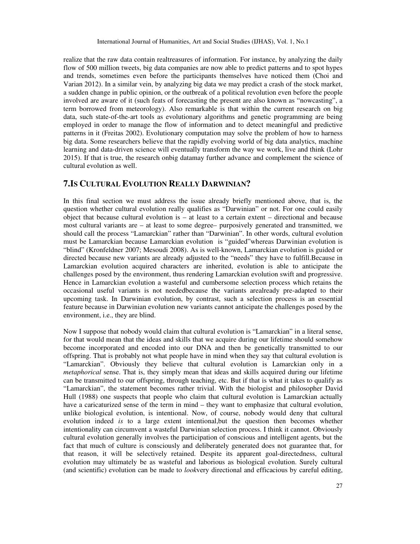realize that the raw data contain realtreasures of information. For instance, by analyzing the daily flow of 500 million tweets, big data companies are now able to predict patterns and to spot hypes and trends, sometimes even before the participants themselves have noticed them (Choi and Varian 2012). In a similar vein, by analyzing big data we may predict a crash of the stock market, a sudden change in public opinion, or the outbreak of a political revolution even before the people involved are aware of it (such feats of forecasting the present are also known as "nowcasting", a term borrowed from meteorology). Also remarkable is that within the current research on big data, such state-of-the-art tools as evolutionary algorithms and genetic programming are being employed in order to manage the flow of information and to detect meaningful and predictive patterns in it (Freitas 2002). Evolutionary computation may solve the problem of how to harness big data. Some researchers believe that the rapidly evolving world of big data analytics, machine learning and data-driven science will eventually transform the way we work, live and think (Lohr 2015). If that is true, the research onbig datamay further advance and complement the science of cultural evolution as well.

## **7.IS CULTURAL EVOLUTION REALLY DARWINIAN?**

In this final section we must address the issue already briefly mentioned above, that is, the question whether cultural evolution really qualifies as "Darwinian" or not. For one could easily object that because cultural evolution is – at least to a certain extent – directional and because most cultural variants are – at least to some degree– purposively generated and transmitted, we should call the process "Lamarckian" rather than "Darwinian". In other words, cultural evolution must be Lamarckian because Lamarckian evolution is "guided"whereas Darwinian evolution is "blind" (Kronfeldner 2007; Mesoudi 2008). As is well-known, Lamarckian evolution is guided or directed because new variants are already adjusted to the "needs" they have to fulfill.Because in Lamarckian evolution acquired characters are inherited, evolution is able to anticipate the challenges posed by the environment, thus rendering Lamarckian evolution swift and progressive. Hence in Lamarckian evolution a wasteful and cumbersome selection process which retains the occasional useful variants is not neededbecause the variants arealready pre-adapted to their upcoming task. In Darwinian evolution, by contrast, such a selection process is an essential feature because in Darwinian evolution new variants cannot anticipate the challenges posed by the environment, i.e., they are blind.

Now I suppose that nobody would claim that cultural evolution is "Lamarckian" in a literal sense, for that would mean that the ideas and skills that we acquire during our lifetime should somehow become incorporated and encoded into our DNA and then be genetically transmitted to our offspring. That is probably not what people have in mind when they say that cultural evolution is "Lamarckian". Obviously they believe that cultural evolution is Lamarckian only in a *metaphorical* sense. That is, they simply mean that ideas and skills acquired during our lifetime can be transmitted to our offspring, through teaching, etc. But if that is what it takes to qualify as "Lamarckian", the statement becomes rather trivial. With the biologist and philosopher David Hull (1988) one suspects that people who claim that cultural evolution is Lamarckian actually have a caricaturized sense of the term in mind – they want to emphasize that cultural evolution, unlike biological evolution, is intentional. Now, of course, nobody would deny that cultural evolution indeed *is* to a large extent intentional,but the question then becomes whether intentionality can circumvent a wasteful Darwinian selection process. I think it cannot. Obviously cultural evolution generally involves the participation of conscious and intelligent agents, but the fact that much of culture is consciously and deliberately generated does not guarantee that, for that reason, it will be selectively retained. Despite its apparent goal-directedness, cultural evolution may ultimately be as wasteful and laborious as biological evolution. Surely cultural (and scientific) evolution can be made to *look*very directional and efficacious by careful editing,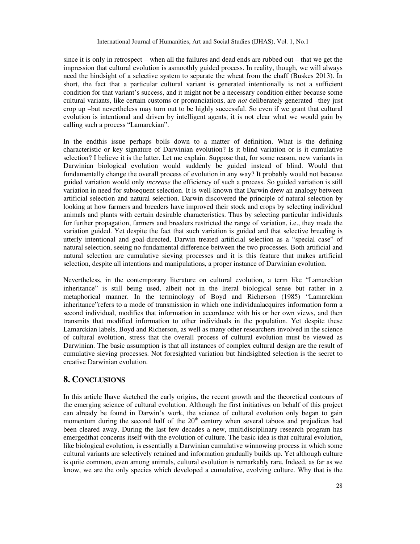since it is only in retrospect – when all the failures and dead ends are rubbed out – that we get the impression that cultural evolution is asmoothly guided process. In reality, though, we will always need the hindsight of a selective system to separate the wheat from the chaff (Buskes 2013). In short, the fact that a particular cultural variant is generated intentionally is not a sufficient condition for that variant's success, and it might not be a necessary condition either because some cultural variants, like certain customs or pronunciations, are *not* deliberately generated –they just crop up –but nevertheless may turn out to be highly successful. So even if we grant that cultural evolution is intentional and driven by intelligent agents, it is not clear what we would gain by calling such a process "Lamarckian".

In the endthis issue perhaps boils down to a matter of definition. What is the defining characteristic or key signature of Darwinian evolution? Is it blind variation or is it cumulative selection? I believe it is the latter. Let me explain. Suppose that, for some reason, new variants in Darwinian biological evolution would suddenly be guided instead of blind. Would that fundamentally change the overall process of evolution in any way? It probably would not because guided variation would only *increase* the efficiency of such a process. So guided variation is still variation in need for subsequent selection. It is well-known that Darwin drew an analogy between artificial selection and natural selection. Darwin discovered the principle of natural selection by looking at how farmers and breeders have improved their stock and crops by selecting individual animals and plants with certain desirable characteristics. Thus by selecting particular individuals for further propagation, farmers and breeders restricted the range of variation, i.e., they made the variation guided. Yet despite the fact that such variation is guided and that selective breeding is utterly intentional and goal-directed, Darwin treated artificial selection as a "special case" of natural selection, seeing no fundamental difference between the two processes. Both artificial and natural selection are cumulative sieving processes and it is this feature that makes artificial selection, despite all intentions and manipulations, a proper instance of Darwinian evolution.

Nevertheless, in the contemporary literature on cultural evolution, a term like "Lamarckian inheritance" is still being used, albeit not in the literal biological sense but rather in a metaphorical manner. In the terminology of Boyd and Richerson (1985) "Lamarckian inheritance"refers to a mode of transmission in which one individualacquires information form a second individual, modifies that information in accordance with his or her own views, and then transmits that modified information to other individuals in the population. Yet despite these Lamarckian labels, Boyd and Richerson, as well as many other researchers involved in the science of cultural evolution, stress that the overall process of cultural evolution must be viewed as Darwinian. The basic assumption is that all instances of complex cultural design are the result of cumulative sieving processes. Not foresighted variation but hindsighted selection is the secret to creative Darwinian evolution.

# **8. CONCLUSIONS**

In this article Ihave sketched the early origins, the recent growth and the theoretical contours of the emerging science of cultural evolution. Although the first initiatives on behalf of this project can already be found in Darwin's work, the science of cultural evolution only began to gain momentum during the second half of the  $20<sup>th</sup>$  century when several taboos and prejudices had been cleared away. During the last few decades a new, multidisciplinary research program has emergedthat concerns itself with the evolution of culture. The basic idea is that cultural evolution, like biological evolution, is essentially a Darwinian cumulative winnowing process in which some cultural variants are selectively retained and information gradually builds up. Yet although culture is quite common, even among animals, cultural evolution is remarkably rare. Indeed, as far as we know, we are the only species which developed a cumulative, evolving culture. Why that is the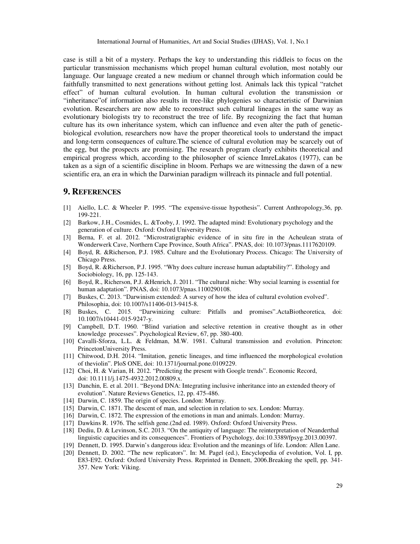case is still a bit of a mystery. Perhaps the key to understanding this riddleis to focus on the particular transmission mechanisms which propel human cultural evolution, most notably our language. Our language created a new medium or channel through which information could be faithfully transmitted to next generations without getting lost. Animals lack this typical "ratchet effect" of human cultural evolution. In human cultural evolution the transmission or "inheritance"of information also results in tree-like phylogenies so characteristic of Darwinian evolution. Researchers are now able to reconstruct such cultural lineages in the same way as evolutionary biologists try to reconstruct the tree of life. By recognizing the fact that human culture has its own inheritance system, which can influence and even alter the path of geneticbiological evolution, researchers now have the proper theoretical tools to understand the impact and long-term consequences of culture.The science of cultural evolution may be scarcely out of the egg, but the prospects are promising. The research program clearly exhibits theoretical and empirical progress which, according to the philosopher of science ImreLakatos (1977), can be taken as a sign of a scientific discipline in bloom. Perhaps we are witnessing the dawn of a new scientific era, an era in which the Darwinian paradigm willreach its pinnacle and full potential.

## **9. REFERENCES**

- [1] Aiello, L.C. & Wheeler P. 1995. "The expensive-tissue hypothesis". Current Anthropology,36, pp. 199-221.
- [2] Barkow, J.H., Cosmides, L. &Tooby, J. 1992. The adapted mind: Evolutionary psychology and the generation of culture. Oxford: Oxford University Press.
- [3] Berna, F. et al. 2012. "Microstratigraphic evidence of in situ fire in the Acheulean strata of Wonderwerk Cave, Northern Cape Province, South Africa". PNAS, doi: 10.1073/pnas.1117620109.
- [4] Boyd, R. &Richerson, P.J. 1985. Culture and the Evolutionary Process. Chicago: The University of Chicago Press.
- [5] Boyd, R. &Richerson, P.J. 1995. "Why does culture increase human adaptability?". Ethology and Sociobiology, 16, pp. 125-143.
- [6] Boyd, R., Richerson, P.J. &Henrich, J. 2011. "The cultural niche: Why social learning is essential for human adaptation". PNAS, doi: 10.1073/pnas.1100290108.
- [7] Buskes, C. 2013. "Darwinism extended: A survey of how the idea of cultural evolution evolved". Philosophia, doi: 10.1007/s11406-013-9415-8.
- [8] Buskes, C. 2015. "Darwinizing culture: Pitfalls and promises".ActaBiotheoretica, doi: 10.1007/s10441-015-9247-y.
- [9] Campbell, D.T. 1960. "Blind variation and selective retention in creative thought as in other knowledge processes". Psychological Review, 67, pp. 380-400.
- [10] Cavalli-Sforza, L.L. & Feldman, M.W. 1981. Cultural transmission and evolution. Princeton: PrincetonUniversity Press.
- [11] Chitwood, D.H. 2014. "Imitation, genetic lineages, and time influenced the morphological evolution of theviolin". PloS ONE, doi: 10.1371/journal.pone.0109229.
- [12] Choi, H. & Varian, H. 2012. "Predicting the present with Google trends". Economic Record, doi: 10.1111/j.1475-4932.2012.00809.x.
- [13] Danchin, E. et al. 2011. "Beyond DNA: Integrating inclusive inheritance into an extended theory of evolution". Nature Reviews Genetics, 12, pp. 475-486.
- [14] Darwin, C. 1859. The origin of species. London: Murray.
- [15] Darwin, C. 1871. The descent of man, and selection in relation to sex. London: Murray.
- [16] Darwin, C. 1872. The expression of the emotions in man and animals. London: Murray.
- [17] Dawkins R. 1976. The selfish gene.(2nd ed. 1989). Oxford: Oxford University Press.
- [18] Dediu, D. & Levinson, S.C. 2013. "On the antiquity of language: The reinterpretation of Neanderthal linguistic capacities and its consequences". Frontiers of Psychology, doi:10.3389/fpsyg.2013.00397.
- [19] Dennett, D. 1995. Darwin's dangerous idea: Evolution and the meanings of life. London: Allen Lane.
- [20] Dennett, D. 2002. "The new replicators". In: M. Pagel (ed.), Encyclopedia of evolution, Vol. I, pp. E83-E92. Oxford: Oxford University Press. Reprinted in Dennett, 2006.Breaking the spell, pp. 341- 357. New York: Viking.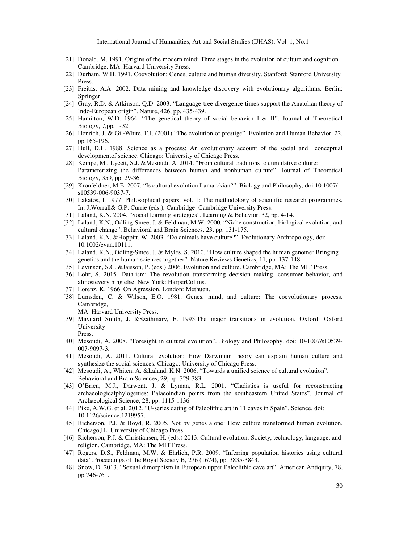- [21] Donald, M. 1991. Origins of the modern mind: Three stages in the evolution of culture and cognition. Cambridge, MA: Harvard University Press.
- [22] Durham, W.H. 1991. Coevolution: Genes, culture and human diversity. Stanford: Stanford University Press.
- [23] Freitas, A.A. 2002. Data mining and knowledge discovery with evolutionary algorithms. Berlin: Springer.
- [24] Gray, R.D. & Atkinson, Q.D. 2003. "Language-tree divergence times support the Anatolian theory of Indo-European origin". Nature, 426, pp. 435-439.
- [25] Hamilton, W.D. 1964. "The genetical theory of social behavior I & II". Journal of Theoretical Biology, 7,pp. 1-32.
- [26] Henrich, J. & Gil-White, F.J. (2001) "The evolution of prestige". Evolution and Human Behavior, 22, pp. 165-196.
- [27] Hull, D.L. 1988. Science as a process: An evolutionary account of the social and conceptual developmentof science. Chicago: University of Chicago Press.
- [28] Kempe, M., Lycett, S.J. &Mesoudi, A. 2014. "From cultural traditions to cumulative culture: Parameterizing the differences between human and nonhuman culture". Journal of Theoretical Biology, 359, pp. 29-36.
- [29] Kronfeldner, M.E. 2007. "Is cultural evolution Lamarckian?". Biology and Philosophy, doi:10.1007/ s10539-006-9037-7.
- [30] Lakatos, I. 1977. Philosophical papers, vol. 1: The methodology of scientific research programmes. In: J.Worrall& G.P. Currie (eds.), Cambridge: Cambridge University Press.
- [31] Laland, K.N. 2004. "Social learning strategies". Learning & Behavior, 32, pp. 4-14.
- [32] Laland, K.N., Odling-Smee, J. & Feldman, M.W. 2000. "Niche construction, biological evolution, and cultural change". Behavioral and Brain Sciences, 23, pp. 131-175.
- [33] Laland, K.N. &Hoppitt, W. 2003. "Do animals have culture?". Evolutionary Anthropology, doi: 10.1002/evan.10111.
- [34] Laland, K.N., Odling-Smee, J. & Myles, S. 2010. "How culture shaped the human genome: Bringing genetics and the human sciences together". Nature Reviews Genetics, 11, pp. 137-148.
- [35] Levinson, S.C. &Jaisson, P. (eds.) 2006. Evolution and culture. Cambridge, MA: The MIT Press.
- [36] Lohr, S. 2015. Data-ism: The revolution transforming decision making, consumer behavior, and almosteverything else. New York: HarperCollins.
- [37] Lorenz, K. 1966. On Agression. London: Methuen.
- [38] Lumsden, C. & Wilson, E.O. 1981. Genes, mind, and culture: The coevolutionary process. Cambridge,

MA: Harvard University Press.

- [39] Maynard Smith, J. &Szathmáry, E. 1995.The major transitions in evolution. Oxford: Oxford University Press.
- [40] Mesoudi, A. 2008. "Foresight in cultural evolution". Biology and Philosophy, doi: 10-1007/s10539- 007-9097-3.
- [41] Mesoudi, A. 2011. Cultural evolution: How Darwinian theory can explain human culture and synthesize the social sciences. Chicago: University of Chicago Press.
- [42] Mesoudi, A., Whiten, A. &Laland, K.N. 2006. "Towards a unified science of cultural evolution". Behavioral and Brain Sciences, 29, pp. 329-383.
- [43] O'Brien, M.J., Darwent, J. & Lyman, R.L. 2001. "Cladistics is useful for reconstructing archaeologicalphylogenies: Palaeoindian points from the southeastern United States". Journal of Archaeological Science, 28, pp. 1115-1136.
- [44] Pike, A.W.G. et al. 2012. "U-series dating of Paleolithic art in 11 caves in Spain". Science, doi: 10.1126/science.1219957.
- [45] Richerson, P.J. & Boyd, R. 2005. Not by genes alone: How culture transformed human evolution. Chicago,IL: University of Chicago Press.
- [46] Richerson, P.J. & Christiansen, H. (eds.) 2013. Cultural evolution: Society, technology, language, and religion. Cambridge, MA: The MIT Press.
- [47] Rogers, D.S., Feldman, M.W. & Ehrlich, P.R. 2009. "Inferring population histories using cultural data".Proceedings of the Royal Society B, 276 (1674), pp. 3835-3843.
- [48] Snow, D. 2013. "Sexual dimorphism in European upper Paleolithic cave art". American Antiquity, 78, pp. 746-761.